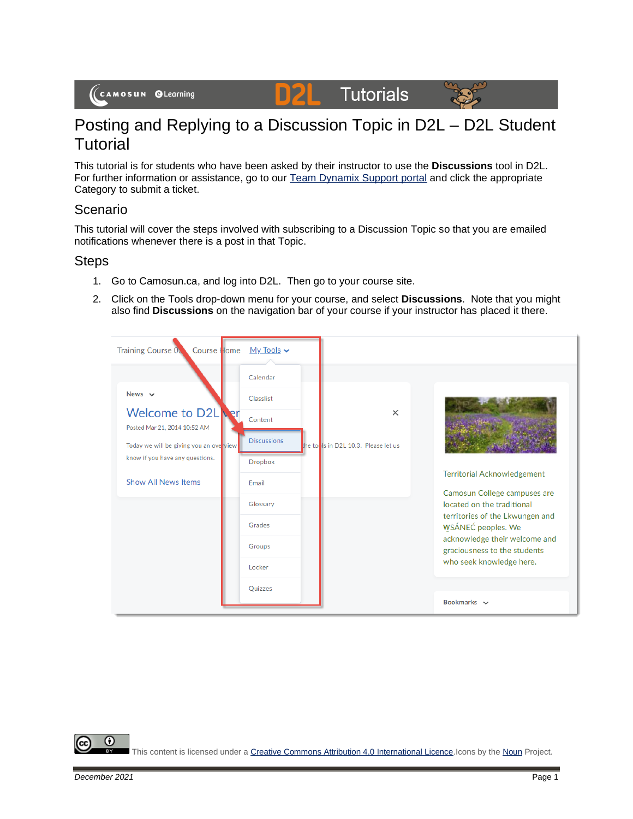# D<sub>2</sub>L Tutorials



# Posting and Replying to a Discussion Topic in D2L – D2L Student **Tutorial**

This tutorial is for students who have been asked by their instructor to use the **Discussions** tool in D2L. For further information or assistance, go to our [Team Dynamix Support portal](https://camosun.teamdynamix.com/TDClient/67/Portal/Requests/ServiceCatalog?CategoryID=524) and click the appropriate Category to submit a ticket.

## Scenario

This tutorial will cover the steps involved with subscribing to a Discussion Topic so that you are emailed notifications whenever there is a post in that Topic.

## **Steps**

- 1. Go to Camosun.ca, and log into D2L. Then go to your course site.
- 2. Click on the Tools drop-down menu for your course, and select **Discussions**. Note that you might also find **Discussions** on the navigation bar of your course if your instructor has placed it there.



Œ

This content is licensed under [a Creative Commons Attribution 4.0 International Licence.I](https://creativecommons.org/licenses/by/4.0/)cons by th[e Noun](https://creativecommons.org/website-icons/) Project.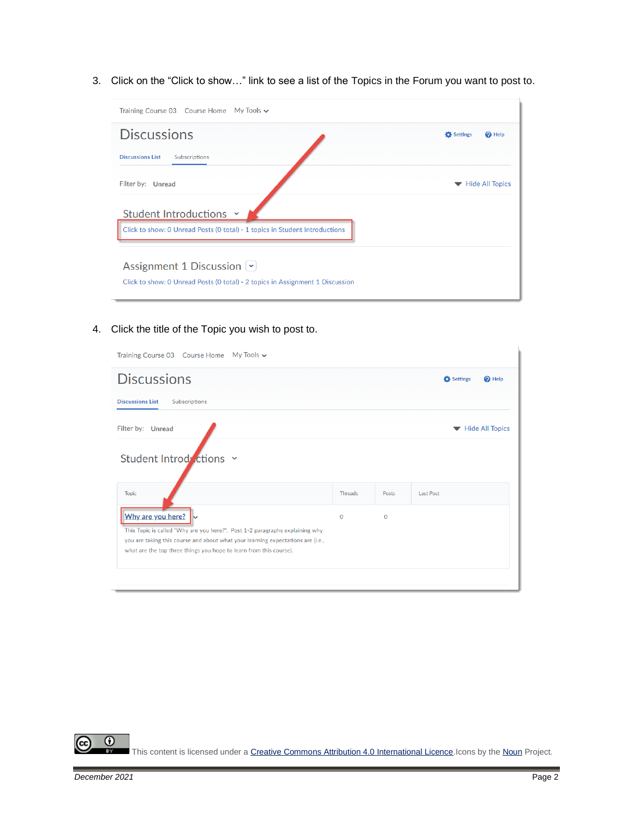3. Click on the "Click to show…" link to see a list of the Topics in the Forum you want to post to.

| Training Course 03 Course Home My Tools v                                                                  |                               |
|------------------------------------------------------------------------------------------------------------|-------------------------------|
| <b>Discussions</b>                                                                                         | Settings<br><sup>O</sup> Help |
| <b>Discussions List</b><br>Subscriptions                                                                   |                               |
| Filter by: Unread                                                                                          | <b>Hide All Topics</b>        |
| Student Introductions Y                                                                                    |                               |
| Click to show: 0 Unread Posts (0 total) - 1 topics in Student Introductions                                |                               |
| Assignment 1 Discussion V<br>Click to show: 0 Unread Posts (0 total) - 2 topics in Assignment 1 Discussion |                               |

4. Click the title of the Topic you wish to post to.

| Training Course 03 Course Home My Tools ↓                                                                                                                       |              |             |                               |
|-----------------------------------------------------------------------------------------------------------------------------------------------------------------|--------------|-------------|-------------------------------|
| <b>Discussions</b>                                                                                                                                              |              |             | Settings<br><sup>O</sup> Help |
| <b>Discussions List</b><br>Subscriptions                                                                                                                        |              |             |                               |
| Filter by: Unread                                                                                                                                               |              |             | Hide All Topics               |
| Student Introductions x                                                                                                                                         |              |             |                               |
| <b>Topic</b>                                                                                                                                                    | Threads      | Posts       | <b>Last Post</b>              |
| Why are you here?                                                                                                                                               | $\mathbf{O}$ | $\mathbf 0$ |                               |
| This Topic is called "Why are you here?". Post 1-2 paragraphs explaining why<br>you are taking this course and about what your learning expectations are (i.e., |              |             |                               |
| what are the top three things you hope to learn from this course).                                                                                              |              |             |                               |
|                                                                                                                                                                 |              |             |                               |
|                                                                                                                                                                 |              |             |                               |
|                                                                                                                                                                 |              |             |                               |

 $\overline{0}$ This content is licensed under [a Creative Commons Attribution 4.0 International Licence.I](https://creativecommons.org/licenses/by/4.0/)cons by th[e Noun](https://creativecommons.org/website-icons/) Project.

(cc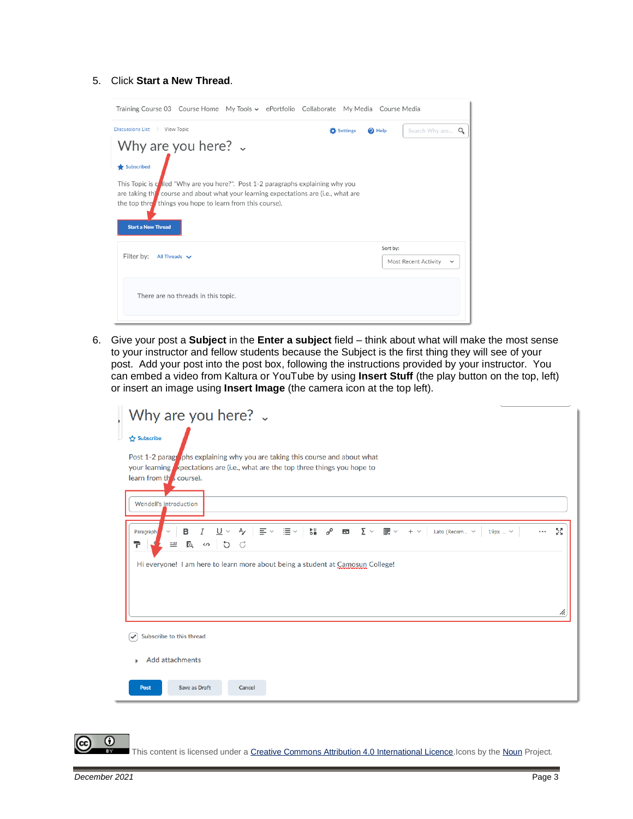#### 5. Click **Start a New Thread**.

| Training Course 03 Course Home My Tools v ePortfolio Collaborate My Media Course Media                                                                                                                                                                             |                   |                                         |              |
|--------------------------------------------------------------------------------------------------------------------------------------------------------------------------------------------------------------------------------------------------------------------|-------------------|-----------------------------------------|--------------|
| Discussions List > View Topic                                                                                                                                                                                                                                      | <b>D</b> Settings | Search Why are $Q$<br><sup>O</sup> Help |              |
| Why are you here? $\sim$<br>Subscribed                                                                                                                                                                                                                             |                   |                                         |              |
| This Topic is colled "Why are you here?". Post 1-2 paragraphs explaining why you<br>are taking this course and about what your learning expectations are (i.e., what are<br>the top thre, things you hope to learn from this course).<br><b>Start a New Thread</b> |                   |                                         |              |
| Filter by:<br>All Threads $\vee$                                                                                                                                                                                                                                   |                   | Sort by:<br>Most Recent Activity        | $\checkmark$ |
| There are no threads in this topic.                                                                                                                                                                                                                                |                   |                                         |              |

6. Give your post a **Subject** in the **Enter a subject** field – think about what will make the most sense to your instructor and fellow students because the Subject is the first thing they will see of your post. Add your post into the post box, following the instructions provided by your instructor. You can embed a video from Kaltura or YouTube by using **Insert Stuff** (the play button on the top, left) or insert an image using **Insert Image** (the camera icon at the top left).

| Why are you here? $\sqrt{ }$                                                                                                                                                                                                                                                                                                                                                                                                                                                      |
|-----------------------------------------------------------------------------------------------------------------------------------------------------------------------------------------------------------------------------------------------------------------------------------------------------------------------------------------------------------------------------------------------------------------------------------------------------------------------------------|
| Subscribe                                                                                                                                                                                                                                                                                                                                                                                                                                                                         |
| Post 1-2 parage objets explaining why you are taking this course and about what<br>your learning spectations are (i.e., what are the top three things you hope to<br>learn from the course).                                                                                                                                                                                                                                                                                      |
| <b>Wendell's Introduction</b>                                                                                                                                                                                                                                                                                                                                                                                                                                                     |
| $\frac{\partial \mathbf{u}}{\partial \mathbf{u}}$ $\frac{\partial \mathbf{v}}{\partial \mathbf{v}}$<br>중계<br>$\mathbf{u} \equiv \mathbf{v}$<br>$\underline{\mathsf{U}}$ $\check{\mathsf{v}}$<br>$\equiv$ $\sim$<br>$\Sigma$ $\sim$<br>翻▽<br>$\sim$<br>в<br>$\mathbf{K}$<br>$+$ $\vee$<br>Lato (Recom $\vee$<br>19px  V<br>$\cdots$<br>Paragraph<br>E SO<br>$\mathcal{C}$<br>P<br>$\equiv$<br>Hi everyone! I am here to learn more about being a student at Camosun College!<br>n. |
| Subscribe to this thread<br>$\checkmark$                                                                                                                                                                                                                                                                                                                                                                                                                                          |
| <b>Add attachments</b><br>ь                                                                                                                                                                                                                                                                                                                                                                                                                                                       |
| <b>Save as Draft</b><br>Post<br>Cancel                                                                                                                                                                                                                                                                                                                                                                                                                                            |

 $\odot$ 

This content is licensed under [a Creative Commons Attribution 4.0 International Licence.I](https://creativecommons.org/licenses/by/4.0/)cons by th[e Noun](https://creativecommons.org/website-icons/) Project.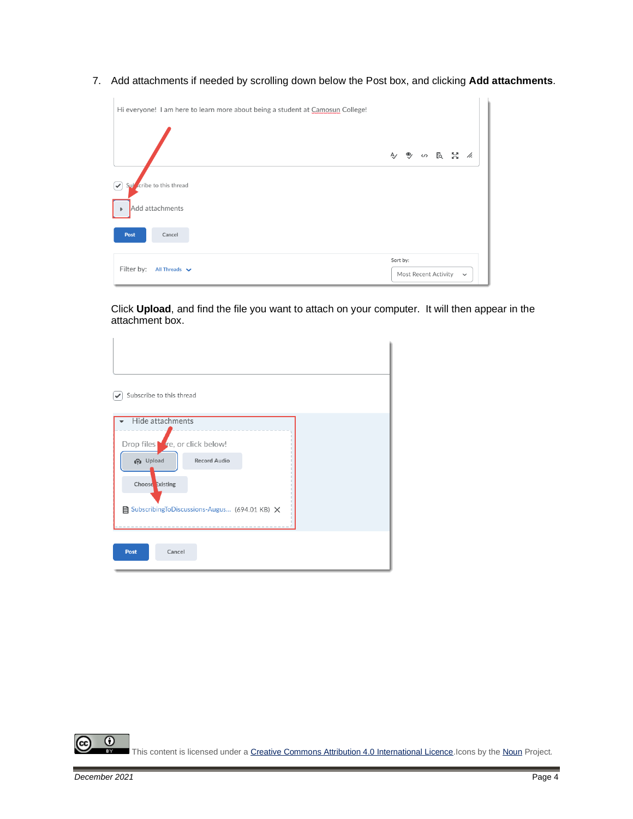7. Add attachments if needed by scrolling down below the Post box, and clicking **Add attachments**.

| Hi everyone! I am here to learn more about being a student at Camosun College!                          |          |                      |            |              |  |
|---------------------------------------------------------------------------------------------------------|----------|----------------------|------------|--------------|--|
|                                                                                                         | Ą,       |                      | ● (の 長 関 系 |              |  |
| cribe to this thread<br>$\left \blacktriangledown\right $<br>Sul<br>Add attachments<br>$\triangleright$ |          |                      |            |              |  |
| Post<br>Cancel                                                                                          |          |                      |            |              |  |
| Filter by: All Threads $\vee$                                                                           | Sort by: | Most Recent Activity |            | $\checkmark$ |  |

Click **Upload**, and find the file you want to attach on your computer. It will then appear in the attachment box.

| Subscribe to this thread                                                                                                                           |                     |  |  |
|----------------------------------------------------------------------------------------------------------------------------------------------------|---------------------|--|--|
| Hide attachments<br>Drop files <b>f</b> e, or click below!<br><b>P</b> Upload<br>Choose Existing<br>■ SubscribingToDiscussions-Augus (694.01 KB) × | <b>Record Audio</b> |  |  |
| Post<br>Cancel                                                                                                                                     |                     |  |  |

 $\overline{0}$ This content is licensed under [a Creative Commons Attribution 4.0 International Licence.I](https://creativecommons.org/licenses/by/4.0/)cons by th[e Noun](https://creativecommons.org/website-icons/) Project.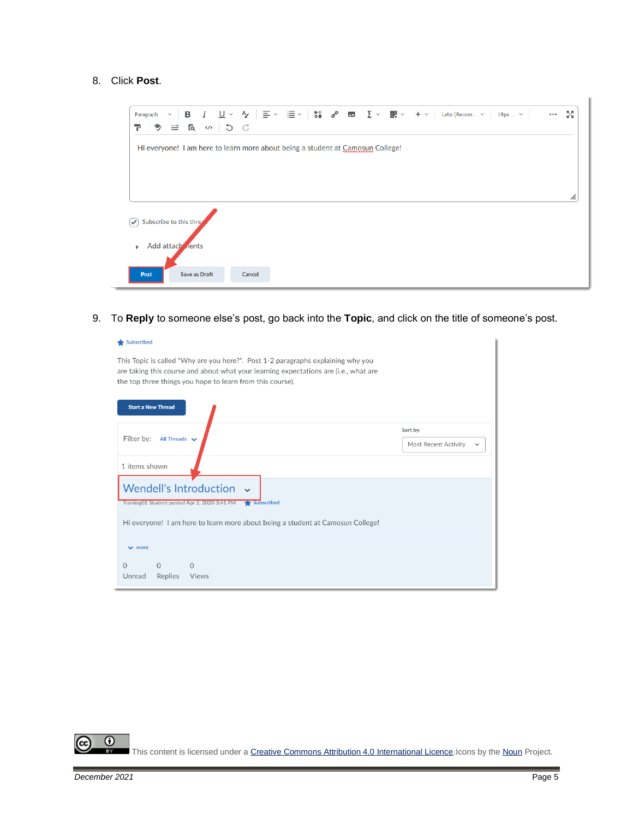#### 8. Click **Post**.



9. To **Reply** to someone else's post, go back into the **Topic**, and click on the title of someone's post.

| $\blacktriangleright$ Subscribed                                                                                                                                                                                                      |                                                  |
|---------------------------------------------------------------------------------------------------------------------------------------------------------------------------------------------------------------------------------------|--------------------------------------------------|
| This Topic is called "Why are you here?". Post 1-2 paragraphs explaining why you<br>are taking this course and about what your learning expectations are (i.e., what are<br>the top three things you hope to learn from this course). |                                                  |
| <b>Start a New Thread</b>                                                                                                                                                                                                             |                                                  |
| Filter by:<br>All Threads $\vee$                                                                                                                                                                                                      | Sort by:<br>Most Recent Activity<br>$\checkmark$ |
| 1 items shown                                                                                                                                                                                                                         |                                                  |
| Wendell's Introduction v<br>Training01 Student posted Apr 2, 2020 3:41 PM Subscribed                                                                                                                                                  |                                                  |
| Hi everyone! I am here to learn more about being a student at Camosun College!                                                                                                                                                        |                                                  |
| $\vee$ more                                                                                                                                                                                                                           |                                                  |
| $\Omega$<br>$\Omega$<br>$\Omega$<br>Replies<br>Unread<br><b>Views</b>                                                                                                                                                                 |                                                  |

 $\odot$ This content is licensed under [a Creative Commons Attribution 4.0 International Licence.I](https://creativecommons.org/licenses/by/4.0/)cons by th[e Noun](https://creativecommons.org/website-icons/) Project.